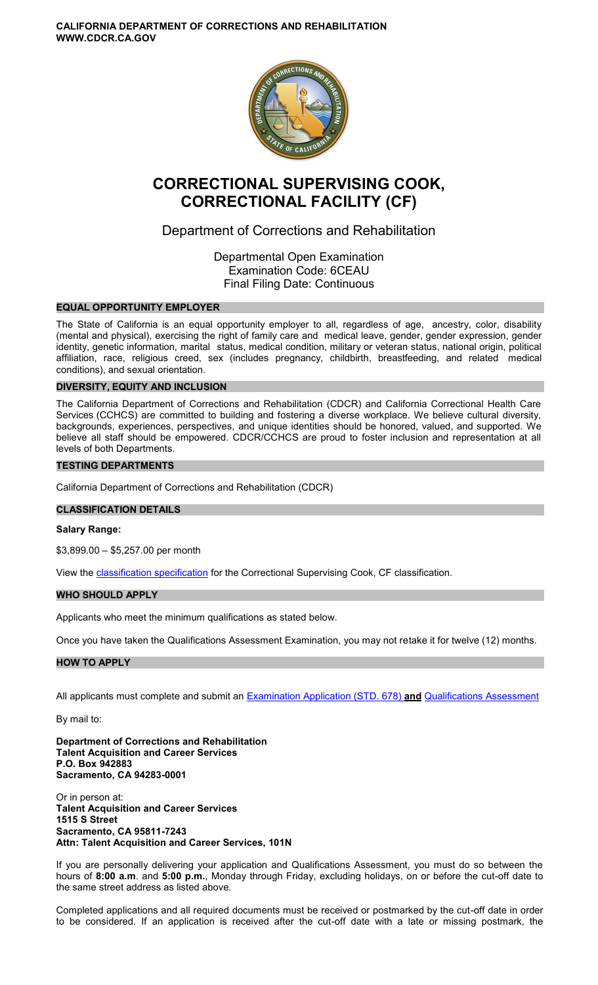**CALIFORNIA DEPARTMENT OF CORRECTIONS AND REHABILITATION WWW.CDCR.CA.GOV** 



# **CORRECTIONAL SUPERVISING COOK, CORRECTIONAL FACILITY (CF)**

## Department of Corrections and Rehabilitation

Departmental Open Examination Examination Code: 6CEAU Final Filing Date: Continuous

## **EQUAL OPPORTUNITY EMPLOYER**

The State of California is an equal opportunity employer to all, regardless of age, ancestry, color, disability (mental and physical), exercising the right of family care and medical leave, gender, gender expression, gender identity, genetic information, marital status, medical condition, military or veteran status, national origin, political affiliation, race, religious creed, sex (includes pregnancy, childbirth, breastfeeding, and related medical conditions), and sexual orientation.

## **DIVERSITY, EQUITY AND INCLUSION**

The California Department of Corrections and Rehabilitation (CDCR) and California Correctional Health Care Services (CCHCS) are committed to building and fostering a diverse workplace. We believe cultural diversity, backgrounds, experiences, perspectives, and unique identities should be honored, valued, and supported. We believe all staff should be empowered. CDCR/CCHCS are proud to foster inclusion and representation at all levels of both Departments.

## **TESTING DEPARTMENTS**

California Department of Corrections and Rehabilitation (CDCR)

### **CLASSIFICATION DETAILS**

#### **Salary Range:**

\$3,899.00 – \$5,257.00 per month

View the **classification specification** for the Correctional Supervising Cook, CF classification.

#### **WHO SHOULD APPLY**

Applicants who meet the minimum qualifications as stated below.

Once you have taken the Qualifications Assessment Examination, you may not retake it for twelve (12) months.

#### **HOW TO APPLY**

All applicants must complete and submit an [Examination Application \(STD. 678\)](https://jobs.ca.gov/pdf/STD678.pdf) **and** [Qualifications Assessment](https://www.cdcr.ca.gov/careers/wp-content/uploads/sites/164/2021/05/CorrSupCookCFQA-O-C.pdf) 

By mail to:

**Department of Corrections and Rehabilitation Talent Acquisition and Career Services P.O. Box 942883 Sacramento, CA 94283-0001** 

Or in person at: **Talent Acquisition and Career Services 1515 S Street Sacramento, CA 95811-7243 Attn: Talent Acquisition and Career Services, 101N** 

If you are personally delivering your application and Qualifications Assessment, you must do so between the hours of **8:00 a.m**. and **5:00 p.m.**, Monday through Friday, excluding holidays, on or before the cut-off date to the same street address as listed above.

Completed applications and all required documents must be received or postmarked by the cut-off date in order to be considered. If an application is received after the cut-off date with a late or missing postmark, the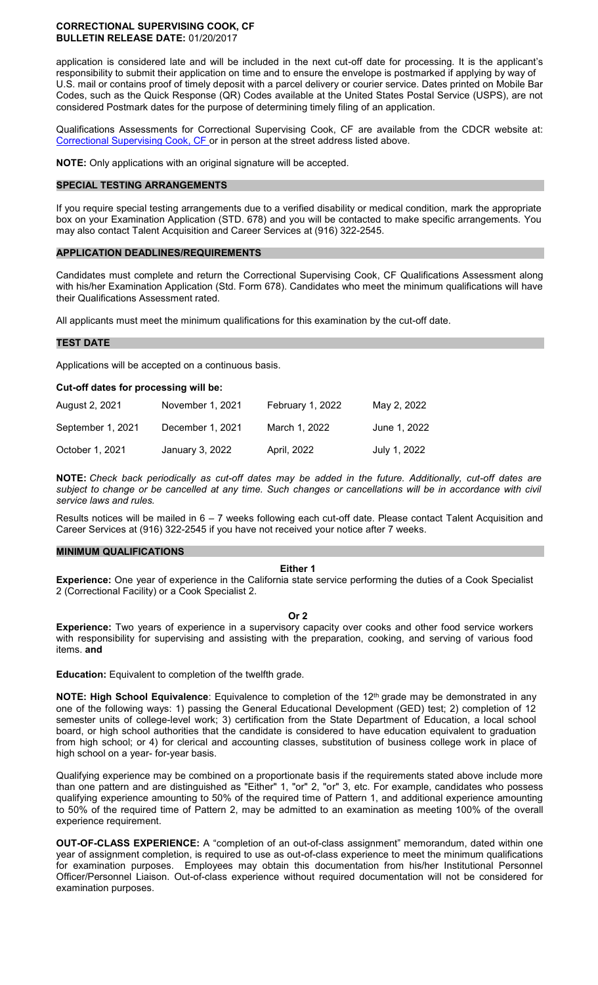#### **CORRECTIONAL SUPERVISING COOK, CF BULLETIN RELEASE DATE:** 01/20/2017

application is considered late and will be included in the next cut-off date for processing. It is the applicant's responsibility to submit their application on time and to ensure the envelope is postmarked if applying by way of U.S. mail or contains proof of timely deposit with a parcel delivery or courier service. Dates printed on Mobile Bar Codes, such as the Quick Response (QR) Codes available at the United States Postal Service (USPS), are not considered Postmark dates for the purpose of determining timely filing of an application.

Qualifications Assessments for Correctional Supervising Cook, CF are available from the CDCR website at: [Correctional Supervising Cook, CF](https://www.cdcr.ca.gov/careers/wp-content/uploads/sites/164/2021/05/CorrSupCookCFQA-O-C.pdf) or in person at the street address listed above.

**NOTE:** Only applications with an original signature will be accepted.

#### **SPECIAL TESTING ARRANGEMENTS**

If you require special testing arrangements due to a verified disability or medical condition, mark the appropriate box on your Examination Application (STD. 678) and you will be contacted to make specific arrangements. You may also contact Talent Acquisition and Career Services at (916) 322-2545.

#### **APPLICATION DEADLINES/REQUIREMENTS**

Candidates must complete and return the Correctional Supervising Cook, CF Qualifications Assessment along with his/her Examination Application (Std. Form 678). Candidates who meet the minimum qualifications will have their Qualifications Assessment rated.

All applicants must meet the minimum qualifications for this examination by the cut-off date.

#### **TEST DATE**

Applications will be accepted on a continuous basis.

#### **Cut-off dates for processing will be:**

| August 2, 2021    | November 1, 2021 | February 1, 2022 | May 2, 2022  |
|-------------------|------------------|------------------|--------------|
| September 1, 2021 | December 1, 2021 | March 1, 2022    | June 1, 2022 |
| October 1, 2021   | January 3, 2022  | April, 2022      | July 1, 2022 |

**NOTE:** *Check back periodically as cut-off dates may be added in the future. Additionally, cut-off dates are subject to change or be cancelled at any time. Such changes or cancellations will be in accordance with civil service laws and rules.* 

Results notices will be mailed in 6 – 7 weeks following each cut-off date. Please contact Talent Acquisition and Career Services at (916) 322-2545 if you have not received your notice after 7 weeks.

#### **MINIMUM QUALIFICATIONS**

#### **Either 1**

**Experience:** One year of experience in the California state service performing the duties of a Cook Specialist 2 (Correctional Facility) or a Cook Specialist 2.

#### **Or 2**

**Experience:** Two years of experience in a supervisory capacity over cooks and other food service workers with responsibility for supervising and assisting with the preparation, cooking, and serving of various food items. **and** 

**Education:** Equivalent to completion of the twelfth grade.

**NOTE: High School Equivalence**: Equivalence to completion of the 12<sup>th</sup> grade may be demonstrated in any one of the following ways: 1) passing the General Educational Development (GED) test; 2) completion of 12 semester units of college-level work; 3) certification from the State Department of Education, a local school board, or high school authorities that the candidate is considered to have education equivalent to graduation from high school; or 4) for clerical and accounting classes, substitution of business college work in place of high school on a year- for-year basis.

Qualifying experience may be combined on a proportionate basis if the requirements stated above include more than one pattern and are distinguished as "Either" 1, "or" 2, "or" 3, etc. For example, candidates who possess qualifying experience amounting to 50% of the required time of Pattern 1, and additional experience amounting to 50% of the required time of Pattern 2, may be admitted to an examination as meeting 100% of the overall experience requirement.

**OUT-OF-CLASS EXPERIENCE:** A "completion of an out-of-class assignment" memorandum, dated within one year of assignment completion, is required to use as out-of-class experience to meet the minimum qualifications for examination purposes. Employees may obtain this documentation from his/her Institutional Personnel Officer/Personnel Liaison. Out-of-class experience without required documentation will not be considered for examination purposes.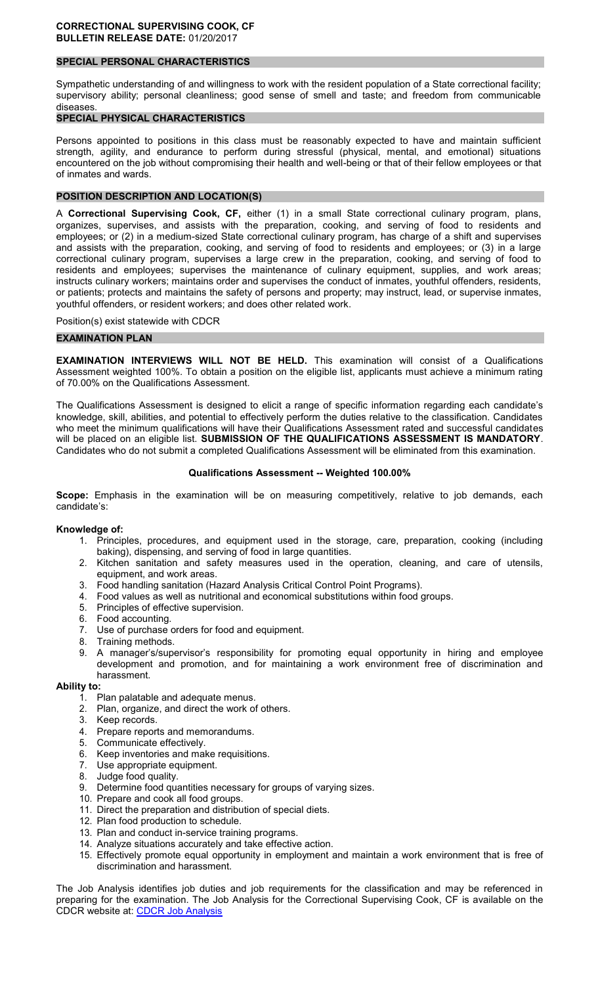## **SPECIAL PERSONAL CHARACTERISTICS**

Sympathetic understanding of and willingness to work with the resident population of a State correctional facility; supervisory ability; personal cleanliness; good sense of smell and taste; and freedom from communicable diseases.

## **SPECIAL PHYSICAL CHARACTERISTICS**

Persons appointed to positions in this class must be reasonably expected to have and maintain sufficient strength, agility, and endurance to perform during stressful (physical, mental, and emotional) situations encountered on the job without compromising their health and well-being or that of their fellow employees or that of inmates and wards.

## **POSITION DESCRIPTION AND LOCATION(S)**

A **Correctional Supervising Cook, CF,** either (1) in a small State correctional culinary program, plans, organizes, supervises, and assists with the preparation, cooking, and serving of food to residents and employees; or (2) in a medium-sized State correctional culinary program, has charge of a shift and supervises and assists with the preparation, cooking, and serving of food to residents and employees; or (3) in a large correctional culinary program, supervises a large crew in the preparation, cooking, and serving of food to residents and employees; supervises the maintenance of culinary equipment, supplies, and work areas; instructs culinary workers; maintains order and supervises the conduct of inmates, youthful offenders, residents, or patients; protects and maintains the safety of persons and property; may instruct, lead, or supervise inmates, youthful offenders, or resident workers; and does other related work.

Position(s) exist statewide with CDCR

#### **EXAMINATION PLAN**

**EXAMINATION INTERVIEWS WILL NOT BE HELD.** This examination will consist of a Qualifications Assessment weighted 100%. To obtain a position on the eligible list, applicants must achieve a minimum rating of 70.00% on the Qualifications Assessment.

The Qualifications Assessment is designed to elicit a range of specific information regarding each candidate's knowledge, skill, abilities, and potential to effectively perform the duties relative to the classification. Candidates who meet the minimum qualifications will have their Qualifications Assessment rated and successful candidates will be placed on an eligible list. **SUBMISSION OF THE QUALIFICATIONS ASSESSMENT IS MANDATORY**. Candidates who do not submit a completed Qualifications Assessment will be eliminated from this examination.

#### **Qualifications Assessment -- Weighted 100.00%**

**Scope:** Emphasis in the examination will be on measuring competitively, relative to job demands, each candidate's:

#### **Knowledge of:**

- 1. Principles, procedures, and equipment used in the storage, care, preparation, cooking (including baking), dispensing, and serving of food in large quantities.
- 2. Kitchen sanitation and safety measures used in the operation, cleaning, and care of utensils, equipment, and work areas.
- 3. Food handling sanitation (Hazard Analysis Critical Control Point Programs).
- 4. Food values as well as nutritional and economical substitutions within food groups.
- 5. Principles of effective supervision.<br>6. Food accounting.
- Food accounting.
- 7. Use of purchase orders for food and equipment.
- 8. Training methods.
- 9. A manager's/supervisor's responsibility for promoting equal opportunity in hiring and employee development and promotion, and for maintaining a work environment free of discrimination and harassment.
- **Ability to:** 
	- 1. Plan palatable and adequate menus.
	- 2. Plan, organize, and direct the work of others.
	- 3. Keep records.
	- 4. Prepare reports and memorandums.<br>5. Communicate effectively.
	- Communicate effectively.
	- 6. Keep inventories and make requisitions.<br>7. Use appropriate equipment.
	- Use appropriate equipment.
	- 8. Judge food quality.
	- 9. Determine food quantities necessary for groups of varying sizes.
	- 10. Prepare and cook all food groups.
	- 11. Direct the preparation and distribution of special diets.
	- 12. Plan food production to schedule.
	- 13. Plan and conduct in-service training programs.
	- 14. Analyze situations accurately and take effective action.
	- 15. Effectively promote equal opportunity in employment and maintain a work environment that is free of discrimination and harassment.

The Job Analysis identifies job duties and job requirements for the classification and may be referenced in preparing for the examination. The Job Analysis for the Correctional Supervising Cook, CF is available on the CDCR website at: [CDCR Job Analysis](https://www.cdcr.ca.gov/Career_Opportunities/HR/OPS/Exams/Analysis/index.html)